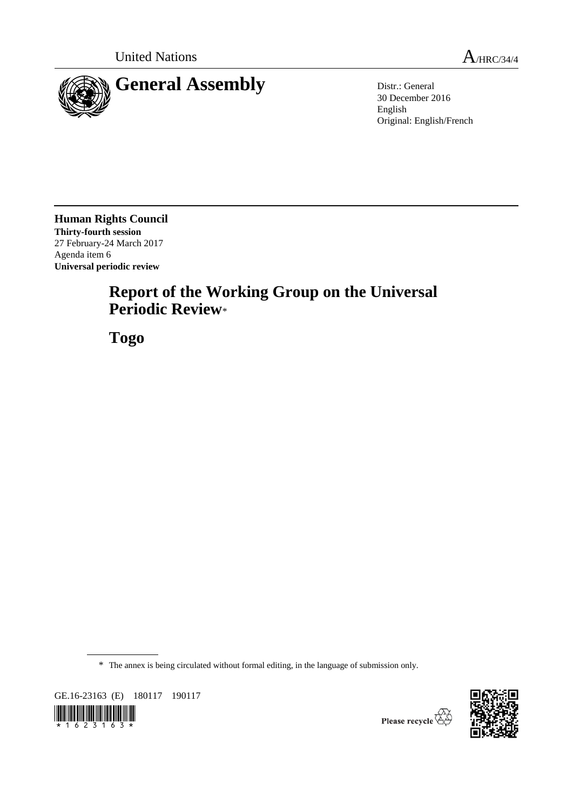

30 December 2016 English Original: English/French

**Human Rights Council Thirty-fourth session** 27 February-24 March 2017 Agenda item 6 **Universal periodic review**

# **Report of the Working Group on the Universal Periodic Review**\*

**Togo**

\* The annex is being circulated without formal editing, in the language of submission only.

GE.16-23163 (E) 180117 190117





Please recycle  $\overleftrightarrow{C}$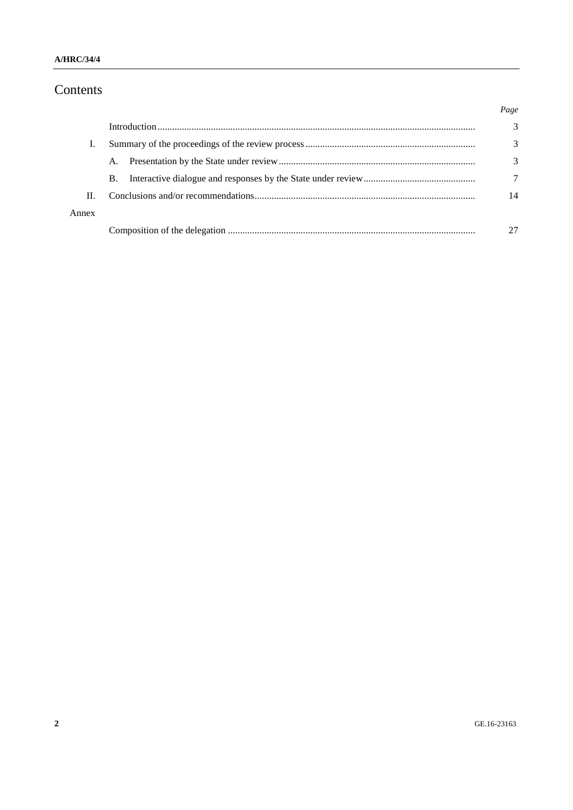## Contents

|       |           | Page |
|-------|-----------|------|
|       |           | 3    |
|       |           | 3    |
|       | A.        | 3    |
|       | <b>B.</b> |      |
| Н.    |           | 14   |
| Annex |           |      |
|       |           |      |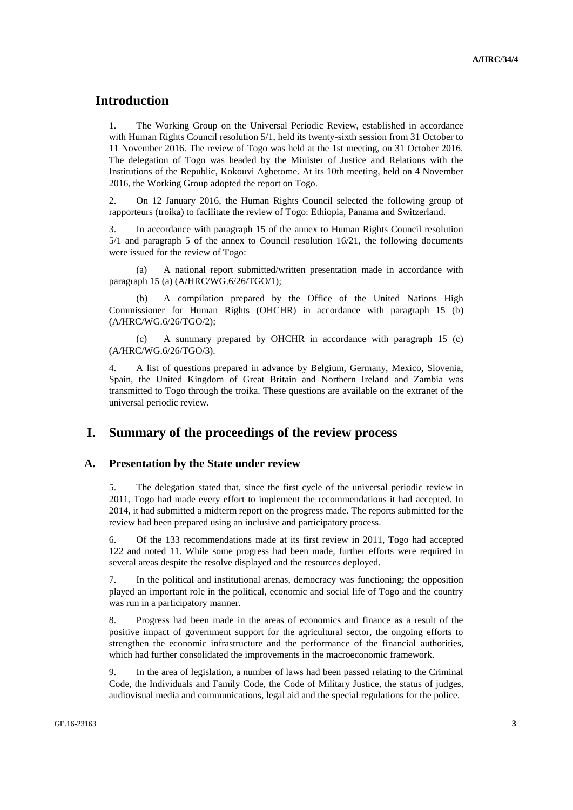## **Introduction**

1. The Working Group on the Universal Periodic Review, established in accordance with Human Rights Council resolution 5/1, held its twenty-sixth session from 31 October to 11 November 2016. The review of Togo was held at the 1st meeting, on 31 October 2016. The delegation of Togo was headed by the Minister of Justice and Relations with the Institutions of the Republic, Kokouvi Agbetome. At its 10th meeting, held on 4 November 2016, the Working Group adopted the report on Togo.

2. On 12 January 2016, the Human Rights Council selected the following group of rapporteurs (troika) to facilitate the review of Togo: Ethiopia, Panama and Switzerland.

3. In accordance with paragraph 15 of the annex to Human Rights Council resolution 5/1 and paragraph 5 of the annex to Council resolution 16/21, the following documents were issued for the review of Togo:

(a) A national report submitted/written presentation made in accordance with paragraph 15 (a) (A/HRC/WG.6/26/TGO/1);

A compilation prepared by the Office of the United Nations High Commissioner for Human Rights (OHCHR) in accordance with paragraph 15 (b) (A/HRC/WG.6/26/TGO/2);

(c) A summary prepared by OHCHR in accordance with paragraph 15 (c) (A/HRC/WG.6/26/TGO/3).

4. A list of questions prepared in advance by Belgium, Germany, Mexico, Slovenia, Spain, the United Kingdom of Great Britain and Northern Ireland and Zambia was transmitted to Togo through the troika. These questions are available on the extranet of the universal periodic review.

## **I. Summary of the proceedings of the review process**

#### **A. Presentation by the State under review**

5. The delegation stated that, since the first cycle of the universal periodic review in 2011, Togo had made every effort to implement the recommendations it had accepted. In 2014, it had submitted a midterm report on the progress made. The reports submitted for the review had been prepared using an inclusive and participatory process.

6. Of the 133 recommendations made at its first review in 2011, Togo had accepted 122 and noted 11. While some progress had been made, further efforts were required in several areas despite the resolve displayed and the resources deployed.

7. In the political and institutional arenas, democracy was functioning; the opposition played an important role in the political, economic and social life of Togo and the country was run in a participatory manner.

8. Progress had been made in the areas of economics and finance as a result of the positive impact of government support for the agricultural sector, the ongoing efforts to strengthen the economic infrastructure and the performance of the financial authorities, which had further consolidated the improvements in the macroeconomic framework.

9. In the area of legislation, a number of laws had been passed relating to the Criminal Code, the Individuals and Family Code, the Code of Military Justice, the status of judges, audiovisual media and communications, legal aid and the special regulations for the police.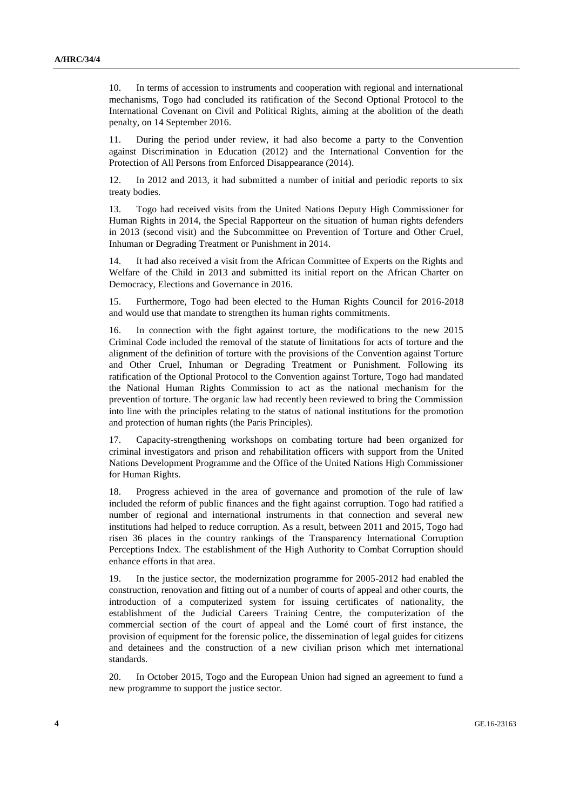10. In terms of accession to instruments and cooperation with regional and international mechanisms, Togo had concluded its ratification of the Second Optional Protocol to the International Covenant on Civil and Political Rights, aiming at the abolition of the death penalty, on 14 September 2016.

11. During the period under review, it had also become a party to the Convention against Discrimination in Education (2012) and the International Convention for the Protection of All Persons from Enforced Disappearance (2014).

12. In 2012 and 2013, it had submitted a number of initial and periodic reports to six treaty bodies.

13. Togo had received visits from the United Nations Deputy High Commissioner for Human Rights in 2014, the Special Rapporteur on the situation of human rights defenders in 2013 (second visit) and the Subcommittee on Prevention of Torture and Other Cruel, Inhuman or Degrading Treatment or Punishment in 2014.

14. It had also received a visit from the African Committee of Experts on the Rights and Welfare of the Child in 2013 and submitted its initial report on the African Charter on Democracy, Elections and Governance in 2016.

15. Furthermore, Togo had been elected to the Human Rights Council for 2016-2018 and would use that mandate to strengthen its human rights commitments.

16. In connection with the fight against torture, the modifications to the new 2015 Criminal Code included the removal of the statute of limitations for acts of torture and the alignment of the definition of torture with the provisions of the Convention against Torture and Other Cruel, Inhuman or Degrading Treatment or Punishment. Following its ratification of the Optional Protocol to the Convention against Torture, Togo had mandated the National Human Rights Commission to act as the national mechanism for the prevention of torture. The organic law had recently been reviewed to bring the Commission into line with the principles relating to the status of national institutions for the promotion and protection of human rights (the Paris Principles).

17. Capacity-strengthening workshops on combating torture had been organized for criminal investigators and prison and rehabilitation officers with support from the United Nations Development Programme and the Office of the United Nations High Commissioner for Human Rights.

18. Progress achieved in the area of governance and promotion of the rule of law included the reform of public finances and the fight against corruption. Togo had ratified a number of regional and international instruments in that connection and several new institutions had helped to reduce corruption. As a result, between 2011 and 2015, Togo had risen 36 places in the country rankings of the Transparency International Corruption Perceptions Index. The establishment of the High Authority to Combat Corruption should enhance efforts in that area.

19. In the justice sector, the modernization programme for 2005-2012 had enabled the construction, renovation and fitting out of a number of courts of appeal and other courts, the introduction of a computerized system for issuing certificates of nationality, the establishment of the Judicial Careers Training Centre, the computerization of the commercial section of the court of appeal and the Lomé court of first instance, the provision of equipment for the forensic police, the dissemination of legal guides for citizens and detainees and the construction of a new civilian prison which met international standards.

20. In October 2015, Togo and the European Union had signed an agreement to fund a new programme to support the justice sector.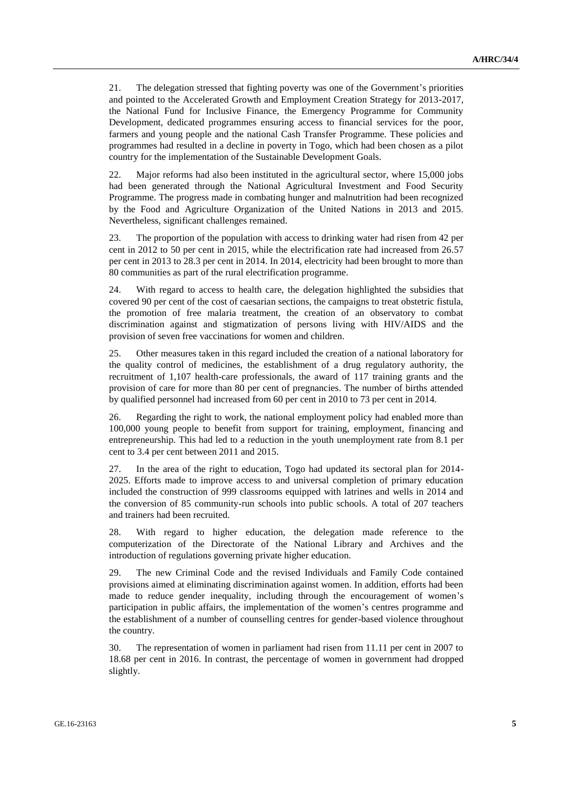21. The delegation stressed that fighting poverty was one of the Government's priorities and pointed to the Accelerated Growth and Employment Creation Strategy for 2013-2017, the National Fund for Inclusive Finance, the Emergency Programme for Community Development, dedicated programmes ensuring access to financial services for the poor, farmers and young people and the national Cash Transfer Programme. These policies and programmes had resulted in a decline in poverty in Togo, which had been chosen as a pilot country for the implementation of the Sustainable Development Goals.

22. Major reforms had also been instituted in the agricultural sector, where 15,000 jobs had been generated through the National Agricultural Investment and Food Security Programme. The progress made in combating hunger and malnutrition had been recognized by the Food and Agriculture Organization of the United Nations in 2013 and 2015. Nevertheless, significant challenges remained.

23. The proportion of the population with access to drinking water had risen from 42 per cent in 2012 to 50 per cent in 2015, while the electrification rate had increased from 26.57 per cent in 2013 to 28.3 per cent in 2014. In 2014, electricity had been brought to more than 80 communities as part of the rural electrification programme.

24. With regard to access to health care, the delegation highlighted the subsidies that covered 90 per cent of the cost of caesarian sections, the campaigns to treat obstetric fistula, the promotion of free malaria treatment, the creation of an observatory to combat discrimination against and stigmatization of persons living with HIV/AIDS and the provision of seven free vaccinations for women and children.

25. Other measures taken in this regard included the creation of a national laboratory for the quality control of medicines, the establishment of a drug regulatory authority, the recruitment of 1,107 health-care professionals, the award of 117 training grants and the provision of care for more than 80 per cent of pregnancies. The number of births attended by qualified personnel had increased from 60 per cent in 2010 to 73 per cent in 2014.

26. Regarding the right to work, the national employment policy had enabled more than 100,000 young people to benefit from support for training, employment, financing and entrepreneurship. This had led to a reduction in the youth unemployment rate from 8.1 per cent to 3.4 per cent between 2011 and 2015.

27. In the area of the right to education, Togo had updated its sectoral plan for 2014- 2025. Efforts made to improve access to and universal completion of primary education included the construction of 999 classrooms equipped with latrines and wells in 2014 and the conversion of 85 community-run schools into public schools. A total of 207 teachers and trainers had been recruited.

28. With regard to higher education, the delegation made reference to the computerization of the Directorate of the National Library and Archives and the introduction of regulations governing private higher education.

29. The new Criminal Code and the revised Individuals and Family Code contained provisions aimed at eliminating discrimination against women. In addition, efforts had been made to reduce gender inequality, including through the encouragement of women's participation in public affairs, the implementation of the women's centres programme and the establishment of a number of counselling centres for gender-based violence throughout the country.

30. The representation of women in parliament had risen from 11.11 per cent in 2007 to 18.68 per cent in 2016. In contrast, the percentage of women in government had dropped slightly.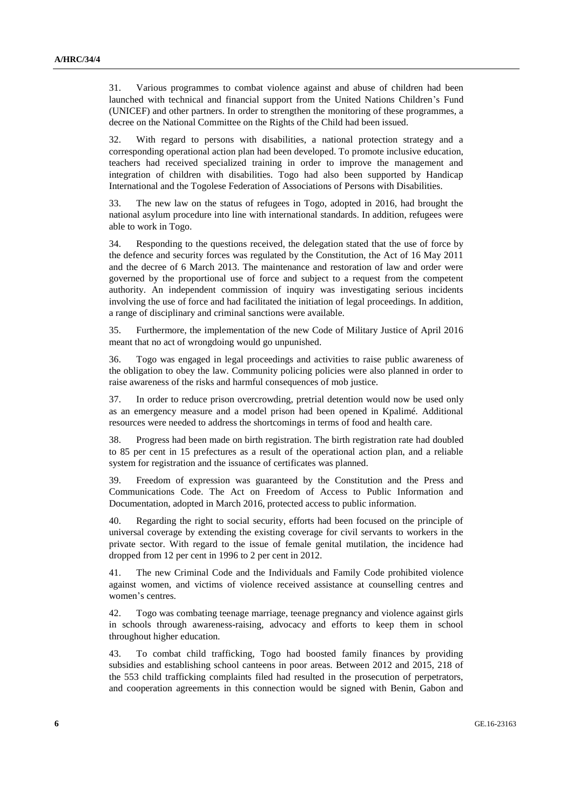31. Various programmes to combat violence against and abuse of children had been launched with technical and financial support from the United Nations Children's Fund (UNICEF) and other partners. In order to strengthen the monitoring of these programmes, a decree on the National Committee on the Rights of the Child had been issued.

32. With regard to persons with disabilities, a national protection strategy and a corresponding operational action plan had been developed. To promote inclusive education, teachers had received specialized training in order to improve the management and integration of children with disabilities. Togo had also been supported by Handicap International and the Togolese Federation of Associations of Persons with Disabilities.

33. The new law on the status of refugees in Togo, adopted in 2016, had brought the national asylum procedure into line with international standards. In addition, refugees were able to work in Togo.

34. Responding to the questions received, the delegation stated that the use of force by the defence and security forces was regulated by the Constitution, the Act of 16 May 2011 and the decree of 6 March 2013. The maintenance and restoration of law and order were governed by the proportional use of force and subject to a request from the competent authority. An independent commission of inquiry was investigating serious incidents involving the use of force and had facilitated the initiation of legal proceedings. In addition, a range of disciplinary and criminal sanctions were available.

35. Furthermore, the implementation of the new Code of Military Justice of April 2016 meant that no act of wrongdoing would go unpunished.

36. Togo was engaged in legal proceedings and activities to raise public awareness of the obligation to obey the law. Community policing policies were also planned in order to raise awareness of the risks and harmful consequences of mob justice.

37. In order to reduce prison overcrowding, pretrial detention would now be used only as an emergency measure and a model prison had been opened in Kpalimé. Additional resources were needed to address the shortcomings in terms of food and health care.

38. Progress had been made on birth registration. The birth registration rate had doubled to 85 per cent in 15 prefectures as a result of the operational action plan, and a reliable system for registration and the issuance of certificates was planned.

39. Freedom of expression was guaranteed by the Constitution and the Press and Communications Code. The Act on Freedom of Access to Public Information and Documentation, adopted in March 2016, protected access to public information.

40. Regarding the right to social security, efforts had been focused on the principle of universal coverage by extending the existing coverage for civil servants to workers in the private sector. With regard to the issue of female genital mutilation, the incidence had dropped from 12 per cent in 1996 to 2 per cent in 2012.

41. The new Criminal Code and the Individuals and Family Code prohibited violence against women, and victims of violence received assistance at counselling centres and women's centres.

42. Togo was combating teenage marriage, teenage pregnancy and violence against girls in schools through awareness-raising, advocacy and efforts to keep them in school throughout higher education.

43. To combat child trafficking, Togo had boosted family finances by providing subsidies and establishing school canteens in poor areas. Between 2012 and 2015, 218 of the 553 child trafficking complaints filed had resulted in the prosecution of perpetrators, and cooperation agreements in this connection would be signed with Benin, Gabon and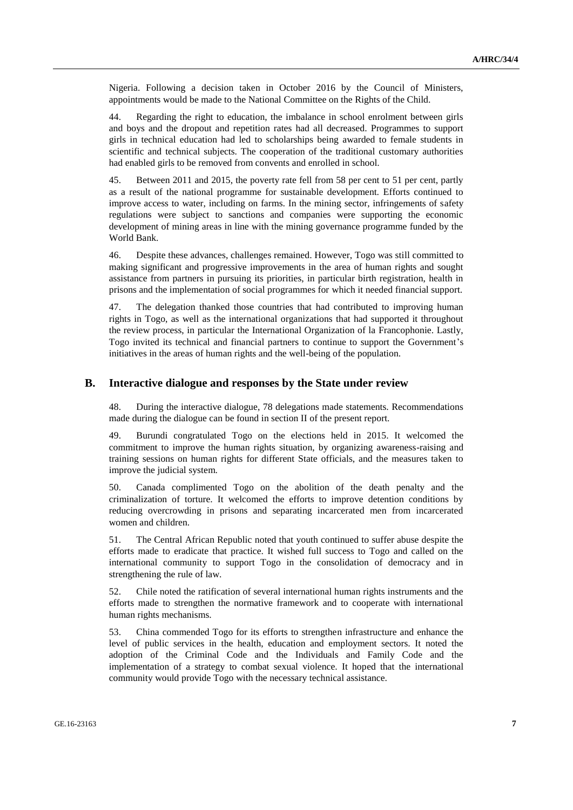Nigeria. Following a decision taken in October 2016 by the Council of Ministers, appointments would be made to the National Committee on the Rights of the Child.

44. Regarding the right to education, the imbalance in school enrolment between girls and boys and the dropout and repetition rates had all decreased. Programmes to support girls in technical education had led to scholarships being awarded to female students in scientific and technical subjects. The cooperation of the traditional customary authorities had enabled girls to be removed from convents and enrolled in school.

45. Between 2011 and 2015, the poverty rate fell from 58 per cent to 51 per cent, partly as a result of the national programme for sustainable development. Efforts continued to improve access to water, including on farms. In the mining sector, infringements of safety regulations were subject to sanctions and companies were supporting the economic development of mining areas in line with the mining governance programme funded by the World Bank.

46. Despite these advances, challenges remained. However, Togo was still committed to making significant and progressive improvements in the area of human rights and sought assistance from partners in pursuing its priorities, in particular birth registration, health in prisons and the implementation of social programmes for which it needed financial support.

47. The delegation thanked those countries that had contributed to improving human rights in Togo, as well as the international organizations that had supported it throughout the review process, in particular the International Organization of la Francophonie. Lastly, Togo invited its technical and financial partners to continue to support the Government's initiatives in the areas of human rights and the well-being of the population.

#### **B. Interactive dialogue and responses by the State under review**

48. During the interactive dialogue, 78 delegations made statements. Recommendations made during the dialogue can be found in section II of the present report.

49. Burundi congratulated Togo on the elections held in 2015. It welcomed the commitment to improve the human rights situation, by organizing awareness-raising and training sessions on human rights for different State officials, and the measures taken to improve the judicial system.

50. Canada complimented Togo on the abolition of the death penalty and the criminalization of torture. It welcomed the efforts to improve detention conditions by reducing overcrowding in prisons and separating incarcerated men from incarcerated women and children.

51. The Central African Republic noted that youth continued to suffer abuse despite the efforts made to eradicate that practice. It wished full success to Togo and called on the international community to support Togo in the consolidation of democracy and in strengthening the rule of law.

52. Chile noted the ratification of several international human rights instruments and the efforts made to strengthen the normative framework and to cooperate with international human rights mechanisms.

53. China commended Togo for its efforts to strengthen infrastructure and enhance the level of public services in the health, education and employment sectors. It noted the adoption of the Criminal Code and the Individuals and Family Code and the implementation of a strategy to combat sexual violence. It hoped that the international community would provide Togo with the necessary technical assistance.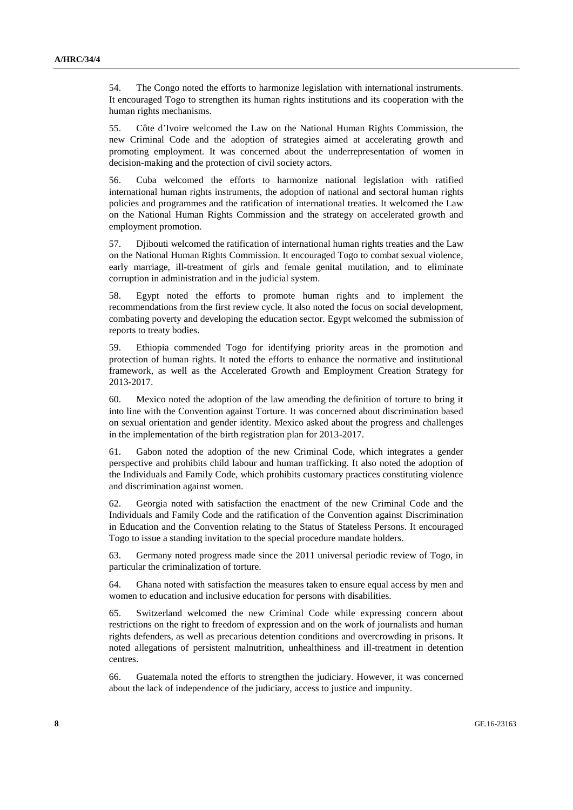54. The Congo noted the efforts to harmonize legislation with international instruments. It encouraged Togo to strengthen its human rights institutions and its cooperation with the human rights mechanisms.

55. Côte d'Ivoire welcomed the Law on the National Human Rights Commission, the new Criminal Code and the adoption of strategies aimed at accelerating growth and promoting employment. It was concerned about the underrepresentation of women in decision-making and the protection of civil society actors.

56. Cuba welcomed the efforts to harmonize national legislation with ratified international human rights instruments, the adoption of national and sectoral human rights policies and programmes and the ratification of international treaties. It welcomed the Law on the National Human Rights Commission and the strategy on accelerated growth and employment promotion.

57. Djibouti welcomed the ratification of international human rights treaties and the Law on the National Human Rights Commission. It encouraged Togo to combat sexual violence, early marriage, ill-treatment of girls and female genital mutilation, and to eliminate corruption in administration and in the judicial system.

58. Egypt noted the efforts to promote human rights and to implement the recommendations from the first review cycle. It also noted the focus on social development, combating poverty and developing the education sector. Egypt welcomed the submission of reports to treaty bodies.

59. Ethiopia commended Togo for identifying priority areas in the promotion and protection of human rights. It noted the efforts to enhance the normative and institutional framework, as well as the Accelerated Growth and Employment Creation Strategy for 2013-2017.

60. Mexico noted the adoption of the law amending the definition of torture to bring it into line with the Convention against Torture. It was concerned about discrimination based on sexual orientation and gender identity. Mexico asked about the progress and challenges in the implementation of the birth registration plan for 2013-2017.

61. Gabon noted the adoption of the new Criminal Code, which integrates a gender perspective and prohibits child labour and human trafficking. It also noted the adoption of the Individuals and Family Code, which prohibits customary practices constituting violence and discrimination against women.

62. Georgia noted with satisfaction the enactment of the new Criminal Code and the Individuals and Family Code and the ratification of the Convention against Discrimination in Education and the Convention relating to the Status of Stateless Persons. It encouraged Togo to issue a standing invitation to the special procedure mandate holders.

63. Germany noted progress made since the 2011 universal periodic review of Togo, in particular the criminalization of torture.

64. Ghana noted with satisfaction the measures taken to ensure equal access by men and women to education and inclusive education for persons with disabilities.

65. Switzerland welcomed the new Criminal Code while expressing concern about restrictions on the right to freedom of expression and on the work of journalists and human rights defenders, as well as precarious detention conditions and overcrowding in prisons. It noted allegations of persistent malnutrition, unhealthiness and ill-treatment in detention centres.

66. Guatemala noted the efforts to strengthen the judiciary. However, it was concerned about the lack of independence of the judiciary, access to justice and impunity.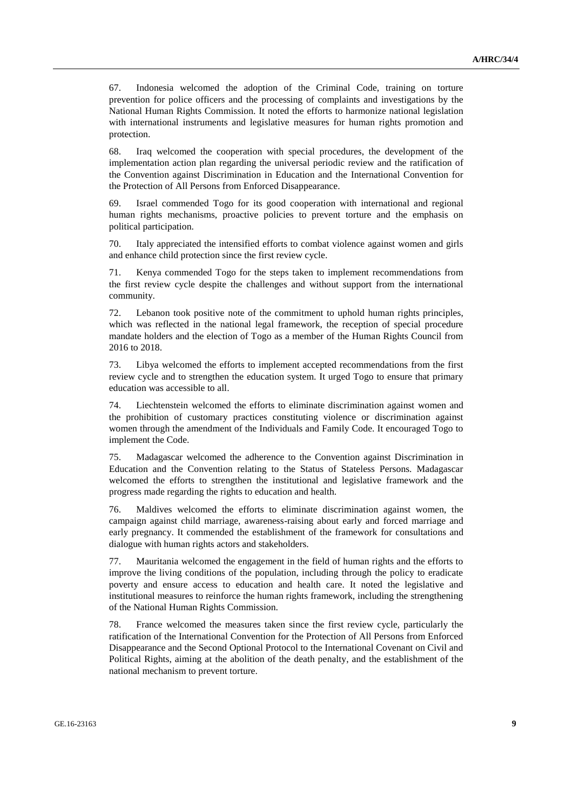67. Indonesia welcomed the adoption of the Criminal Code, training on torture prevention for police officers and the processing of complaints and investigations by the National Human Rights Commission. It noted the efforts to harmonize national legislation with international instruments and legislative measures for human rights promotion and protection.

68. Iraq welcomed the cooperation with special procedures, the development of the implementation action plan regarding the universal periodic review and the ratification of the Convention against Discrimination in Education and the International Convention for the Protection of All Persons from Enforced Disappearance.

69. Israel commended Togo for its good cooperation with international and regional human rights mechanisms, proactive policies to prevent torture and the emphasis on political participation.

70. Italy appreciated the intensified efforts to combat violence against women and girls and enhance child protection since the first review cycle.

71. Kenya commended Togo for the steps taken to implement recommendations from the first review cycle despite the challenges and without support from the international community.

72. Lebanon took positive note of the commitment to uphold human rights principles, which was reflected in the national legal framework, the reception of special procedure mandate holders and the election of Togo as a member of the Human Rights Council from 2016 to 2018.

73. Libya welcomed the efforts to implement accepted recommendations from the first review cycle and to strengthen the education system. It urged Togo to ensure that primary education was accessible to all.

74. Liechtenstein welcomed the efforts to eliminate discrimination against women and the prohibition of customary practices constituting violence or discrimination against women through the amendment of the Individuals and Family Code. It encouraged Togo to implement the Code.

75. Madagascar welcomed the adherence to the Convention against Discrimination in Education and the Convention relating to the Status of Stateless Persons. Madagascar welcomed the efforts to strengthen the institutional and legislative framework and the progress made regarding the rights to education and health.

76. Maldives welcomed the efforts to eliminate discrimination against women, the campaign against child marriage, awareness-raising about early and forced marriage and early pregnancy. It commended the establishment of the framework for consultations and dialogue with human rights actors and stakeholders.

77. Mauritania welcomed the engagement in the field of human rights and the efforts to improve the living conditions of the population, including through the policy to eradicate poverty and ensure access to education and health care. It noted the legislative and institutional measures to reinforce the human rights framework, including the strengthening of the National Human Rights Commission.

78. France welcomed the measures taken since the first review cycle, particularly the ratification of the International Convention for the Protection of All Persons from Enforced Disappearance and the Second Optional Protocol to the International Covenant on Civil and Political Rights, aiming at the abolition of the death penalty, and the establishment of the national mechanism to prevent torture.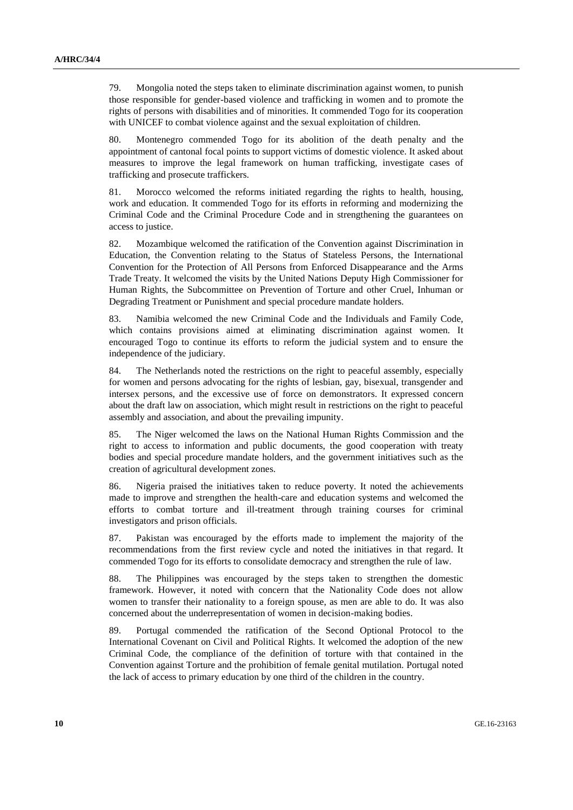79. Mongolia noted the steps taken to eliminate discrimination against women, to punish those responsible for gender-based violence and trafficking in women and to promote the rights of persons with disabilities and of minorities. It commended Togo for its cooperation with UNICEF to combat violence against and the sexual exploitation of children.

80. Montenegro commended Togo for its abolition of the death penalty and the appointment of cantonal focal points to support victims of domestic violence. It asked about measures to improve the legal framework on human trafficking, investigate cases of trafficking and prosecute traffickers.

81. Morocco welcomed the reforms initiated regarding the rights to health, housing, work and education. It commended Togo for its efforts in reforming and modernizing the Criminal Code and the Criminal Procedure Code and in strengthening the guarantees on access to justice.

82. Mozambique welcomed the ratification of the Convention against Discrimination in Education, the Convention relating to the Status of Stateless Persons, the International Convention for the Protection of All Persons from Enforced Disappearance and the Arms Trade Treaty. It welcomed the visits by the United Nations Deputy High Commissioner for Human Rights, the Subcommittee on Prevention of Torture and other Cruel, Inhuman or Degrading Treatment or Punishment and special procedure mandate holders.

83. Namibia welcomed the new Criminal Code and the Individuals and Family Code, which contains provisions aimed at eliminating discrimination against women. It encouraged Togo to continue its efforts to reform the judicial system and to ensure the independence of the judiciary.

84. The Netherlands noted the restrictions on the right to peaceful assembly, especially for women and persons advocating for the rights of lesbian, gay, bisexual, transgender and intersex persons, and the excessive use of force on demonstrators. It expressed concern about the draft law on association, which might result in restrictions on the right to peaceful assembly and association, and about the prevailing impunity.

85. The Niger welcomed the laws on the National Human Rights Commission and the right to access to information and public documents, the good cooperation with treaty bodies and special procedure mandate holders, and the government initiatives such as the creation of agricultural development zones.

86. Nigeria praised the initiatives taken to reduce poverty. It noted the achievements made to improve and strengthen the health-care and education systems and welcomed the efforts to combat torture and ill-treatment through training courses for criminal investigators and prison officials.

87. Pakistan was encouraged by the efforts made to implement the majority of the recommendations from the first review cycle and noted the initiatives in that regard. It commended Togo for its efforts to consolidate democracy and strengthen the rule of law.

88. The Philippines was encouraged by the steps taken to strengthen the domestic framework. However, it noted with concern that the Nationality Code does not allow women to transfer their nationality to a foreign spouse, as men are able to do. It was also concerned about the underrepresentation of women in decision-making bodies.

89. Portugal commended the ratification of the Second Optional Protocol to the International Covenant on Civil and Political Rights. It welcomed the adoption of the new Criminal Code, the compliance of the definition of torture with that contained in the Convention against Torture and the prohibition of female genital mutilation. Portugal noted the lack of access to primary education by one third of the children in the country.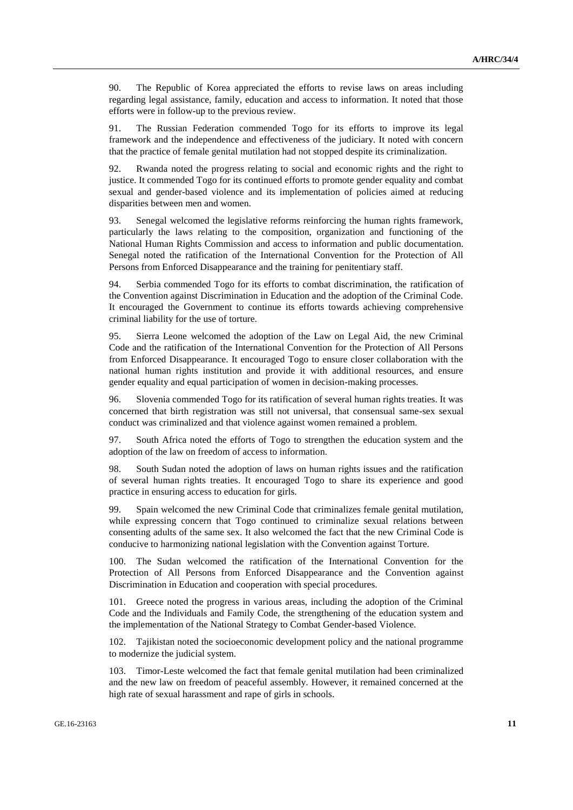90. The Republic of Korea appreciated the efforts to revise laws on areas including regarding legal assistance, family, education and access to information. It noted that those efforts were in follow-up to the previous review.

91. The Russian Federation commended Togo for its efforts to improve its legal framework and the independence and effectiveness of the judiciary. It noted with concern that the practice of female genital mutilation had not stopped despite its criminalization.

92. Rwanda noted the progress relating to social and economic rights and the right to justice. It commended Togo for its continued efforts to promote gender equality and combat sexual and gender-based violence and its implementation of policies aimed at reducing disparities between men and women.

93. Senegal welcomed the legislative reforms reinforcing the human rights framework, particularly the laws relating to the composition, organization and functioning of the National Human Rights Commission and access to information and public documentation. Senegal noted the ratification of the International Convention for the Protection of All Persons from Enforced Disappearance and the training for penitentiary staff.

94. Serbia commended Togo for its efforts to combat discrimination, the ratification of the Convention against Discrimination in Education and the adoption of the Criminal Code. It encouraged the Government to continue its efforts towards achieving comprehensive criminal liability for the use of torture.

95. Sierra Leone welcomed the adoption of the Law on Legal Aid, the new Criminal Code and the ratification of the International Convention for the Protection of All Persons from Enforced Disappearance. It encouraged Togo to ensure closer collaboration with the national human rights institution and provide it with additional resources, and ensure gender equality and equal participation of women in decision-making processes.

96. Slovenia commended Togo for its ratification of several human rights treaties. It was concerned that birth registration was still not universal, that consensual same-sex sexual conduct was criminalized and that violence against women remained a problem.

97. South Africa noted the efforts of Togo to strengthen the education system and the adoption of the law on freedom of access to information.

98. South Sudan noted the adoption of laws on human rights issues and the ratification of several human rights treaties. It encouraged Togo to share its experience and good practice in ensuring access to education for girls.

99. Spain welcomed the new Criminal Code that criminalizes female genital mutilation, while expressing concern that Togo continued to criminalize sexual relations between consenting adults of the same sex. It also welcomed the fact that the new Criminal Code is conducive to harmonizing national legislation with the Convention against Torture.

100. The Sudan welcomed the ratification of the International Convention for the Protection of All Persons from Enforced Disappearance and the Convention against Discrimination in Education and cooperation with special procedures.

Greece noted the progress in various areas, including the adoption of the Criminal Code and the Individuals and Family Code, the strengthening of the education system and the implementation of the National Strategy to Combat Gender-based Violence.

102. Tajikistan noted the socioeconomic development policy and the national programme to modernize the judicial system.

103. Timor-Leste welcomed the fact that female genital mutilation had been criminalized and the new law on freedom of peaceful assembly. However, it remained concerned at the high rate of sexual harassment and rape of girls in schools.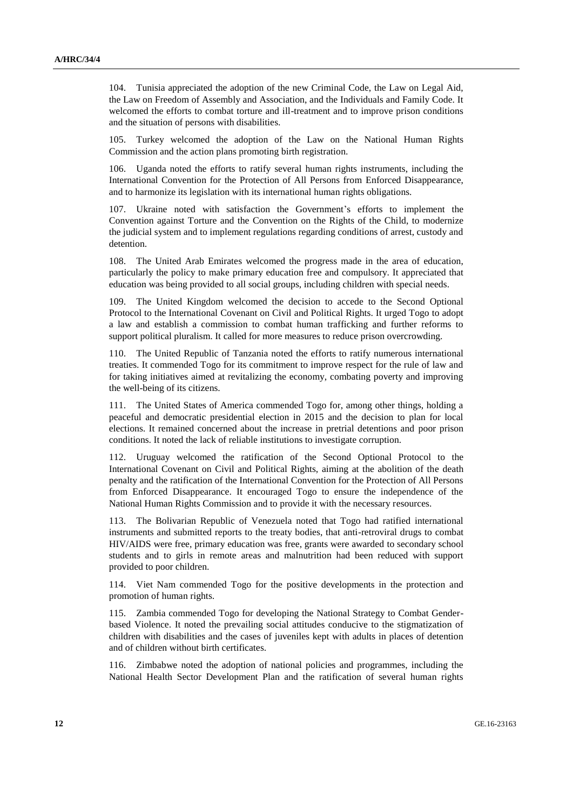104. Tunisia appreciated the adoption of the new Criminal Code, the Law on Legal Aid, the Law on Freedom of Assembly and Association, and the Individuals and Family Code. It welcomed the efforts to combat torture and ill-treatment and to improve prison conditions and the situation of persons with disabilities.

Turkey welcomed the adoption of the Law on the National Human Rights Commission and the action plans promoting birth registration.

106. Uganda noted the efforts to ratify several human rights instruments, including the International Convention for the Protection of All Persons from Enforced Disappearance, and to harmonize its legislation with its international human rights obligations.

107. Ukraine noted with satisfaction the Government's efforts to implement the Convention against Torture and the Convention on the Rights of the Child, to modernize the judicial system and to implement regulations regarding conditions of arrest, custody and detention.

108. The United Arab Emirates welcomed the progress made in the area of education, particularly the policy to make primary education free and compulsory. It appreciated that education was being provided to all social groups, including children with special needs.

109. The United Kingdom welcomed the decision to accede to the Second Optional Protocol to the International Covenant on Civil and Political Rights. It urged Togo to adopt a law and establish a commission to combat human trafficking and further reforms to support political pluralism. It called for more measures to reduce prison overcrowding.

110. The United Republic of Tanzania noted the efforts to ratify numerous international treaties. It commended Togo for its commitment to improve respect for the rule of law and for taking initiatives aimed at revitalizing the economy, combating poverty and improving the well-being of its citizens.

111. The United States of America commended Togo for, among other things, holding a peaceful and democratic presidential election in 2015 and the decision to plan for local elections. It remained concerned about the increase in pretrial detentions and poor prison conditions. It noted the lack of reliable institutions to investigate corruption.

112. Uruguay welcomed the ratification of the Second Optional Protocol to the International Covenant on Civil and Political Rights, aiming at the abolition of the death penalty and the ratification of the International Convention for the Protection of All Persons from Enforced Disappearance. It encouraged Togo to ensure the independence of the National Human Rights Commission and to provide it with the necessary resources.

113. The Bolivarian Republic of Venezuela noted that Togo had ratified international instruments and submitted reports to the treaty bodies, that anti-retroviral drugs to combat HIV/AIDS were free, primary education was free, grants were awarded to secondary school students and to girls in remote areas and malnutrition had been reduced with support provided to poor children.

114. Viet Nam commended Togo for the positive developments in the protection and promotion of human rights.

115. Zambia commended Togo for developing the National Strategy to Combat Genderbased Violence. It noted the prevailing social attitudes conducive to the stigmatization of children with disabilities and the cases of juveniles kept with adults in places of detention and of children without birth certificates.

116. Zimbabwe noted the adoption of national policies and programmes, including the National Health Sector Development Plan and the ratification of several human rights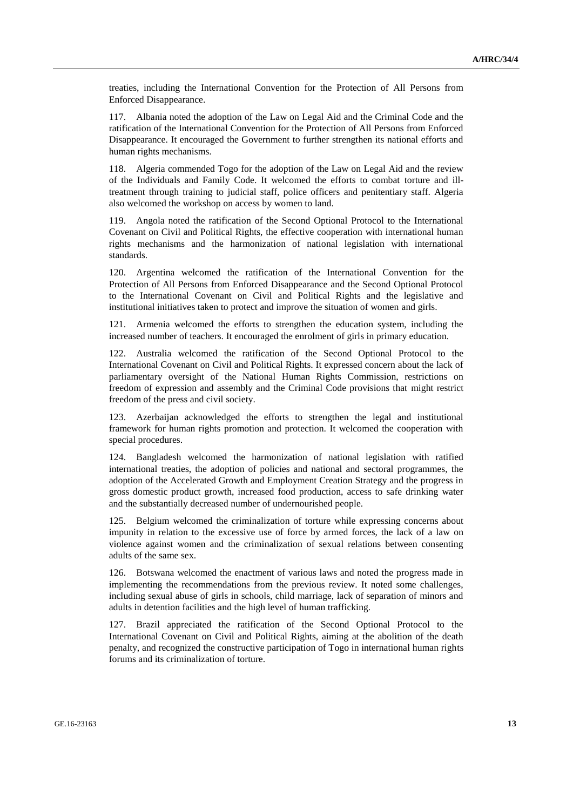treaties, including the International Convention for the Protection of All Persons from Enforced Disappearance.

117. Albania noted the adoption of the Law on Legal Aid and the Criminal Code and the ratification of the International Convention for the Protection of All Persons from Enforced Disappearance. It encouraged the Government to further strengthen its national efforts and human rights mechanisms.

118. Algeria commended Togo for the adoption of the Law on Legal Aid and the review of the Individuals and Family Code. It welcomed the efforts to combat torture and illtreatment through training to judicial staff, police officers and penitentiary staff. Algeria also welcomed the workshop on access by women to land.

119. Angola noted the ratification of the Second Optional Protocol to the International Covenant on Civil and Political Rights, the effective cooperation with international human rights mechanisms and the harmonization of national legislation with international standards.

120. Argentina welcomed the ratification of the International Convention for the Protection of All Persons from Enforced Disappearance and the Second Optional Protocol to the International Covenant on Civil and Political Rights and the legislative and institutional initiatives taken to protect and improve the situation of women and girls.

121. Armenia welcomed the efforts to strengthen the education system, including the increased number of teachers. It encouraged the enrolment of girls in primary education.

122. Australia welcomed the ratification of the Second Optional Protocol to the International Covenant on Civil and Political Rights. It expressed concern about the lack of parliamentary oversight of the National Human Rights Commission, restrictions on freedom of expression and assembly and the Criminal Code provisions that might restrict freedom of the press and civil society.

123. Azerbaijan acknowledged the efforts to strengthen the legal and institutional framework for human rights promotion and protection. It welcomed the cooperation with special procedures.

124. Bangladesh welcomed the harmonization of national legislation with ratified international treaties, the adoption of policies and national and sectoral programmes, the adoption of the Accelerated Growth and Employment Creation Strategy and the progress in gross domestic product growth, increased food production, access to safe drinking water and the substantially decreased number of undernourished people.

125. Belgium welcomed the criminalization of torture while expressing concerns about impunity in relation to the excessive use of force by armed forces, the lack of a law on violence against women and the criminalization of sexual relations between consenting adults of the same sex.

126. Botswana welcomed the enactment of various laws and noted the progress made in implementing the recommendations from the previous review. It noted some challenges, including sexual abuse of girls in schools, child marriage, lack of separation of minors and adults in detention facilities and the high level of human trafficking.

127. Brazil appreciated the ratification of the Second Optional Protocol to the International Covenant on Civil and Political Rights, aiming at the abolition of the death penalty, and recognized the constructive participation of Togo in international human rights forums and its criminalization of torture.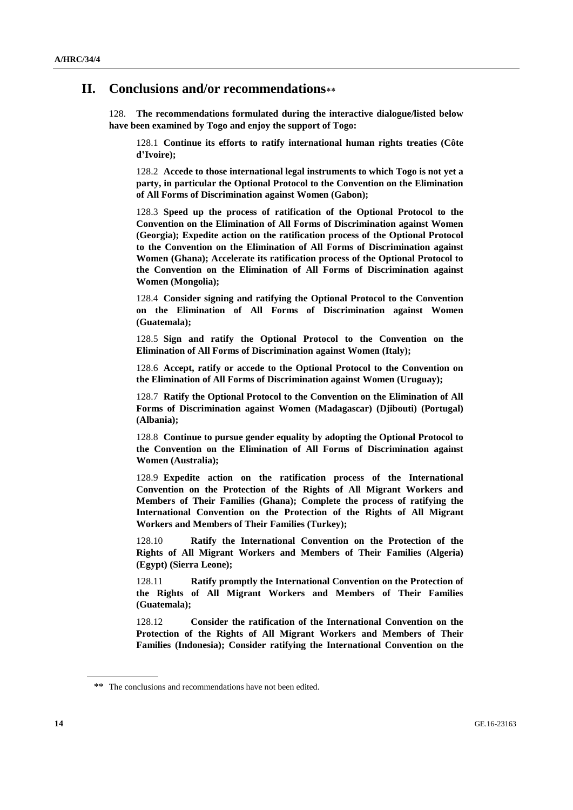### **II. Conclusions and/or recommendations**

128. **The recommendations formulated during the interactive dialogue/listed below have been examined by Togo and enjoy the support of Togo:**

128.1 **Continue its efforts to ratify international human rights treaties (Côte d'Ivoire);**

128.2 **Accede to those international legal instruments to which Togo is not yet a party, in particular the Optional Protocol to the Convention on the Elimination of All Forms of Discrimination against Women (Gabon);**

128.3 **Speed up the process of ratification of the Optional Protocol to the Convention on the Elimination of All Forms of Discrimination against Women (Georgia); Expedite action on the ratification process of the Optional Protocol to the Convention on the Elimination of All Forms of Discrimination against Women (Ghana); Accelerate its ratification process of the Optional Protocol to the Convention on the Elimination of All Forms of Discrimination against Women (Mongolia);**

128.4 **Consider signing and ratifying the Optional Protocol to the Convention on the Elimination of All Forms of Discrimination against Women (Guatemala);**

128.5 **Sign and ratify the Optional Protocol to the Convention on the Elimination of All Forms of Discrimination against Women (Italy);**

128.6 **Accept, ratify or accede to the Optional Protocol to the Convention on the Elimination of All Forms of Discrimination against Women (Uruguay);**

128.7 **Ratify the Optional Protocol to the Convention on the Elimination of All Forms of Discrimination against Women (Madagascar) (Djibouti) (Portugal) (Albania);**

128.8 **Continue to pursue gender equality by adopting the Optional Protocol to the Convention on the Elimination of All Forms of Discrimination against Women (Australia);**

128.9 **Expedite action on the ratification process of the International Convention on the Protection of the Rights of All Migrant Workers and Members of Their Families (Ghana); Complete the process of ratifying the International Convention on the Protection of the Rights of All Migrant Workers and Members of Their Families (Turkey);**

128.10 **Ratify the International Convention on the Protection of the Rights of All Migrant Workers and Members of Their Families (Algeria) (Egypt) (Sierra Leone);**

128.11 **Ratify promptly the International Convention on the Protection of the Rights of All Migrant Workers and Members of Their Families (Guatemala);**

128.12 **Consider the ratification of the International Convention on the Protection of the Rights of All Migrant Workers and Members of Their Families (Indonesia); Consider ratifying the International Convention on the** 

<sup>\*\*</sup> The conclusions and recommendations have not been edited.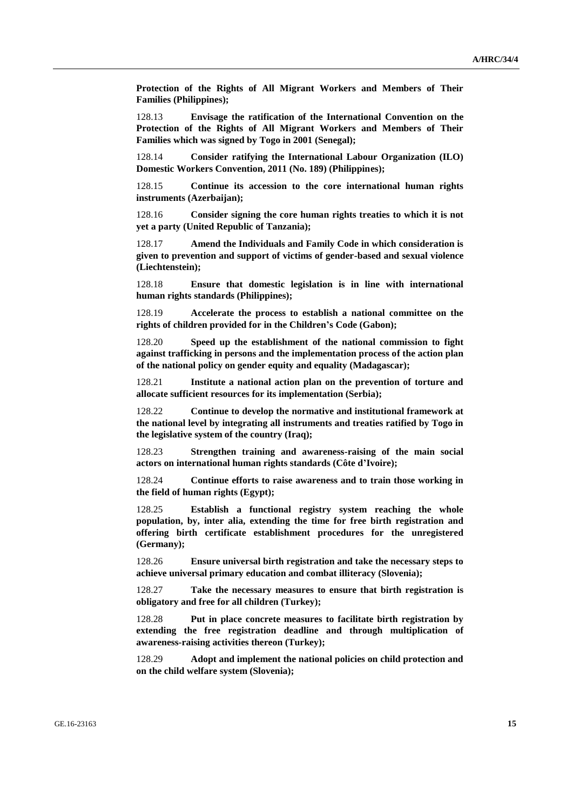**Protection of the Rights of All Migrant Workers and Members of Their Families (Philippines);**

128.13 **Envisage the ratification of the International Convention on the Protection of the Rights of All Migrant Workers and Members of Their Families which was signed by Togo in 2001 (Senegal);**

128.14 **Consider ratifying the International Labour Organization (ILO) Domestic Workers Convention, 2011 (No. 189) (Philippines);**

128.15 **Continue its accession to the core international human rights instruments (Azerbaijan);**

128.16 **Consider signing the core human rights treaties to which it is not yet a party (United Republic of Tanzania);**

128.17 **Amend the Individuals and Family Code in which consideration is given to prevention and support of victims of gender-based and sexual violence (Liechtenstein);**

128.18 **Ensure that domestic legislation is in line with international human rights standards (Philippines);**

128.19 **Accelerate the process to establish a national committee on the rights of children provided for in the Children's Code (Gabon);**

128.20 **Speed up the establishment of the national commission to fight against trafficking in persons and the implementation process of the action plan of the national policy on gender equity and equality (Madagascar);**

128.21 **Institute a national action plan on the prevention of torture and allocate sufficient resources for its implementation (Serbia);**

128.22 **Continue to develop the normative and institutional framework at the national level by integrating all instruments and treaties ratified by Togo in the legislative system of the country (Iraq);**

128.23 **Strengthen training and awareness-raising of the main social actors on international human rights standards (Côte d'Ivoire);**

128.24 **Continue efforts to raise awareness and to train those working in the field of human rights (Egypt);**

128.25 **Establish a functional registry system reaching the whole population, by, inter alia, extending the time for free birth registration and offering birth certificate establishment procedures for the unregistered (Germany);**

128.26 **Ensure universal birth registration and take the necessary steps to achieve universal primary education and combat illiteracy (Slovenia);**

128.27 **Take the necessary measures to ensure that birth registration is obligatory and free for all children (Turkey);**

128.28 **Put in place concrete measures to facilitate birth registration by extending the free registration deadline and through multiplication of awareness-raising activities thereon (Turkey);**

128.29 **Adopt and implement the national policies on child protection and on the child welfare system (Slovenia);**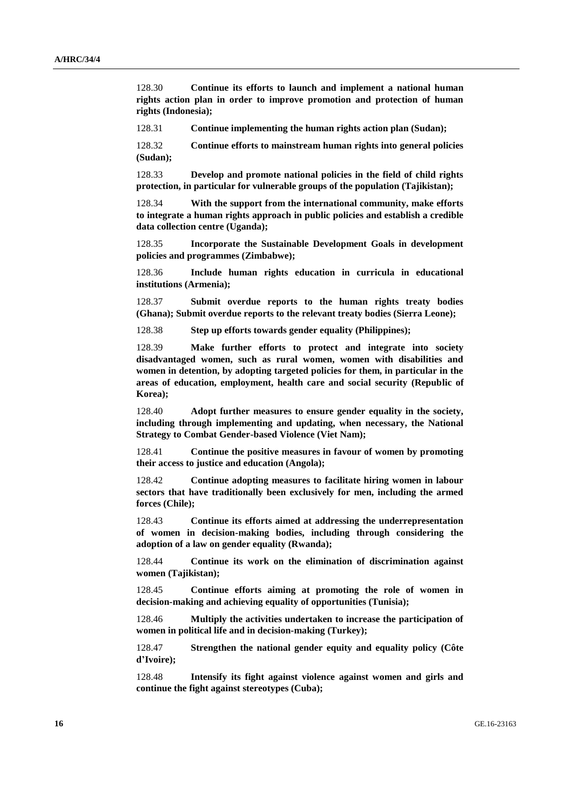128.30 **Continue its efforts to launch and implement a national human rights action plan in order to improve promotion and protection of human rights (Indonesia);**

128.31 **Continue implementing the human rights action plan (Sudan);**

128.32 **Continue efforts to mainstream human rights into general policies (Sudan);**

128.33 **Develop and promote national policies in the field of child rights protection, in particular for vulnerable groups of the population (Tajikistan);**

128.34 **With the support from the international community, make efforts to integrate a human rights approach in public policies and establish a credible data collection centre (Uganda);**

128.35 **Incorporate the Sustainable Development Goals in development policies and programmes (Zimbabwe);**

128.36 **Include human rights education in curricula in educational institutions (Armenia);**

128.37 **Submit overdue reports to the human rights treaty bodies (Ghana); Submit overdue reports to the relevant treaty bodies (Sierra Leone);**

128.38 **Step up efforts towards gender equality (Philippines);**

128.39 **Make further efforts to protect and integrate into society disadvantaged women, such as rural women, women with disabilities and women in detention, by adopting targeted policies for them, in particular in the areas of education, employment, health care and social security (Republic of Korea);**

128.40 **Adopt further measures to ensure gender equality in the society, including through implementing and updating, when necessary, the National Strategy to Combat Gender-based Violence (Viet Nam);**

128.41 **Continue the positive measures in favour of women by promoting their access to justice and education (Angola);**

128.42 **Continue adopting measures to facilitate hiring women in labour sectors that have traditionally been exclusively for men, including the armed forces (Chile);**

128.43 **Continue its efforts aimed at addressing the underrepresentation of women in decision-making bodies, including through considering the adoption of a law on gender equality (Rwanda);**

128.44 **Continue its work on the elimination of discrimination against women (Tajikistan);**

128.45 **Continue efforts aiming at promoting the role of women in decision-making and achieving equality of opportunities (Tunisia);**

128.46 **Multiply the activities undertaken to increase the participation of women in political life and in decision-making (Turkey);**

128.47 **Strengthen the national gender equity and equality policy (Côte d'Ivoire);**

128.48 **Intensify its fight against violence against women and girls and continue the fight against stereotypes (Cuba);**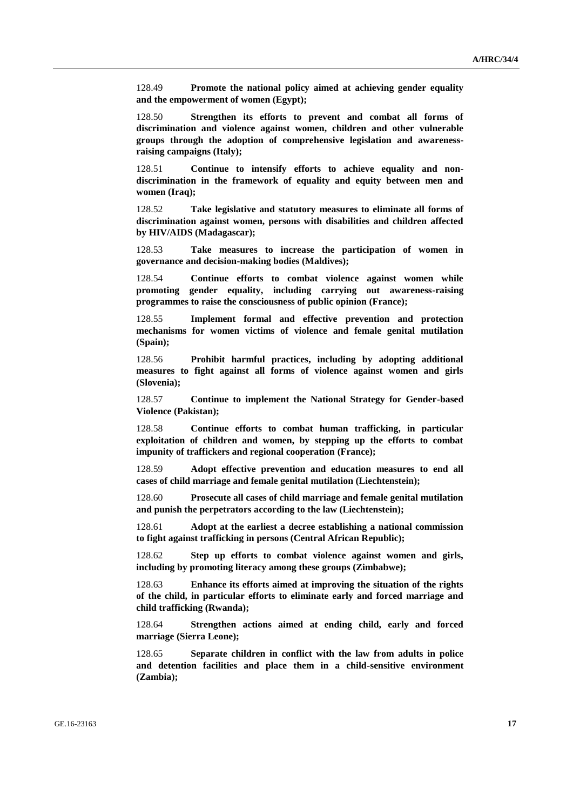128.49 **Promote the national policy aimed at achieving gender equality and the empowerment of women (Egypt);**

128.50 **Strengthen its efforts to prevent and combat all forms of discrimination and violence against women, children and other vulnerable groups through the adoption of comprehensive legislation and awarenessraising campaigns (Italy);**

128.51 **Continue to intensify efforts to achieve equality and nondiscrimination in the framework of equality and equity between men and women (Iraq);**

128.52 **Take legislative and statutory measures to eliminate all forms of discrimination against women, persons with disabilities and children affected by HIV/AIDS (Madagascar);**

128.53 **Take measures to increase the participation of women in governance and decision-making bodies (Maldives);**

128.54 **Continue efforts to combat violence against women while promoting gender equality, including carrying out awareness-raising programmes to raise the consciousness of public opinion (France);**

128.55 **Implement formal and effective prevention and protection mechanisms for women victims of violence and female genital mutilation (Spain);**

128.56 **Prohibit harmful practices, including by adopting additional measures to fight against all forms of violence against women and girls (Slovenia);**

128.57 **Continue to implement the National Strategy for Gender-based Violence (Pakistan);**

128.58 **Continue efforts to combat human trafficking, in particular exploitation of children and women, by stepping up the efforts to combat impunity of traffickers and regional cooperation (France);**

128.59 **Adopt effective prevention and education measures to end all cases of child marriage and female genital mutilation (Liechtenstein);**

128.60 **Prosecute all cases of child marriage and female genital mutilation and punish the perpetrators according to the law (Liechtenstein);**

128.61 **Adopt at the earliest a decree establishing a national commission to fight against trafficking in persons (Central African Republic);**

128.62 **Step up efforts to combat violence against women and girls, including by promoting literacy among these groups (Zimbabwe);**

128.63 **Enhance its efforts aimed at improving the situation of the rights of the child, in particular efforts to eliminate early and forced marriage and child trafficking (Rwanda);**

128.64 **Strengthen actions aimed at ending child, early and forced marriage (Sierra Leone);**

128.65 **Separate children in conflict with the law from adults in police and detention facilities and place them in a child-sensitive environment (Zambia);**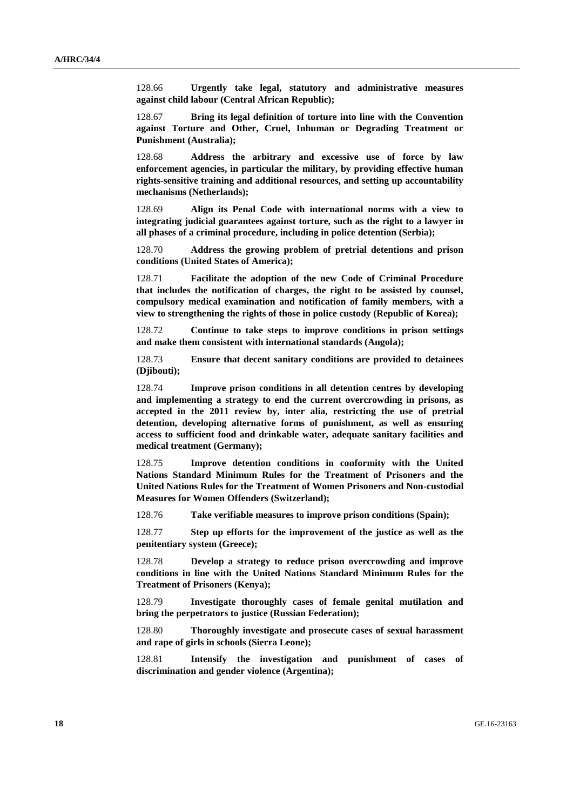128.66 **Urgently take legal, statutory and administrative measures against child labour (Central African Republic);**

128.67 **Bring its legal definition of torture into line with the Convention against Torture and Other, Cruel, Inhuman or Degrading Treatment or Punishment (Australia);**

128.68 **Address the arbitrary and excessive use of force by law enforcement agencies, in particular the military, by providing effective human rights-sensitive training and additional resources, and setting up accountability mechanisms (Netherlands);**

128.69 **Align its Penal Code with international norms with a view to integrating judicial guarantees against torture, such as the right to a lawyer in all phases of a criminal procedure, including in police detention (Serbia);**

128.70 **Address the growing problem of pretrial detentions and prison conditions (United States of America);**

128.71 **Facilitate the adoption of the new Code of Criminal Procedure that includes the notification of charges, the right to be assisted by counsel, compulsory medical examination and notification of family members, with a view to strengthening the rights of those in police custody (Republic of Korea);**

128.72 **Continue to take steps to improve conditions in prison settings and make them consistent with international standards (Angola);**

128.73 **Ensure that decent sanitary conditions are provided to detainees (Djibouti);**

128.74 **Improve prison conditions in all detention centres by developing and implementing a strategy to end the current overcrowding in prisons, as accepted in the 2011 review by, inter alia, restricting the use of pretrial detention, developing alternative forms of punishment, as well as ensuring access to sufficient food and drinkable water, adequate sanitary facilities and medical treatment (Germany);**

128.75 **Improve detention conditions in conformity with the United Nations Standard Minimum Rules for the Treatment of Prisoners and the United Nations Rules for the Treatment of Women Prisoners and Non-custodial Measures for Women Offenders (Switzerland);**

128.76 **Take verifiable measures to improve prison conditions (Spain);**

128.77 **Step up efforts for the improvement of the justice as well as the penitentiary system (Greece);**

128.78 **Develop a strategy to reduce prison overcrowding and improve conditions in line with the United Nations Standard Minimum Rules for the Treatment of Prisoners (Kenya);**

128.79 **Investigate thoroughly cases of female genital mutilation and bring the perpetrators to justice (Russian Federation);**

128.80 **Thoroughly investigate and prosecute cases of sexual harassment and rape of girls in schools (Sierra Leone);**

128.81 **Intensify the investigation and punishment of cases of discrimination and gender violence (Argentina);**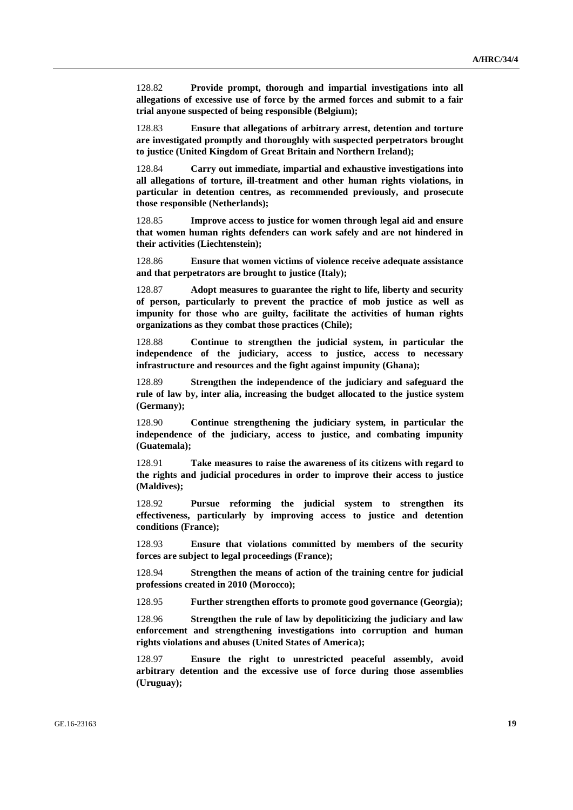128.82 **Provide prompt, thorough and impartial investigations into all allegations of excessive use of force by the armed forces and submit to a fair trial anyone suspected of being responsible (Belgium);**

128.83 **Ensure that allegations of arbitrary arrest, detention and torture are investigated promptly and thoroughly with suspected perpetrators brought to justice (United Kingdom of Great Britain and Northern Ireland);**

128.84 **Carry out immediate, impartial and exhaustive investigations into all allegations of torture, ill-treatment and other human rights violations, in particular in detention centres, as recommended previously, and prosecute those responsible (Netherlands);**

128.85 **Improve access to justice for women through legal aid and ensure that women human rights defenders can work safely and are not hindered in their activities (Liechtenstein);**

128.86 **Ensure that women victims of violence receive adequate assistance and that perpetrators are brought to justice (Italy);**

128.87 **Adopt measures to guarantee the right to life, liberty and security of person, particularly to prevent the practice of mob justice as well as impunity for those who are guilty, facilitate the activities of human rights organizations as they combat those practices (Chile);**

128.88 **Continue to strengthen the judicial system, in particular the independence of the judiciary, access to justice, access to necessary infrastructure and resources and the fight against impunity (Ghana);**

128.89 **Strengthen the independence of the judiciary and safeguard the rule of law by, inter alia, increasing the budget allocated to the justice system (Germany);**

128.90 **Continue strengthening the judiciary system, in particular the independence of the judiciary, access to justice, and combating impunity (Guatemala);**

128.91 **Take measures to raise the awareness of its citizens with regard to the rights and judicial procedures in order to improve their access to justice (Maldives);**

128.92 **Pursue reforming the judicial system to strengthen its effectiveness, particularly by improving access to justice and detention conditions (France);**

128.93 **Ensure that violations committed by members of the security forces are subject to legal proceedings (France);**

128.94 **Strengthen the means of action of the training centre for judicial professions created in 2010 (Morocco);**

128.95 **Further strengthen efforts to promote good governance (Georgia);**

128.96 **Strengthen the rule of law by depoliticizing the judiciary and law enforcement and strengthening investigations into corruption and human rights violations and abuses (United States of America);**

128.97 **Ensure the right to unrestricted peaceful assembly, avoid arbitrary detention and the excessive use of force during those assemblies (Uruguay);**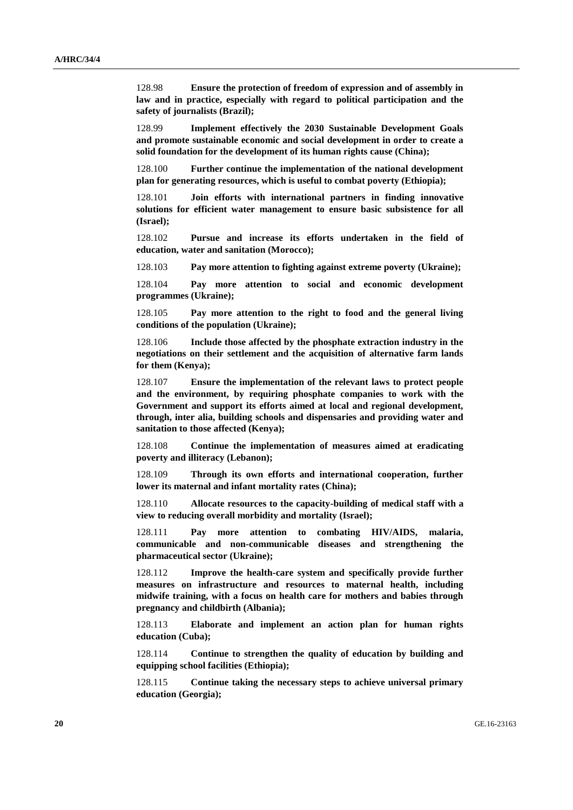128.98 **Ensure the protection of freedom of expression and of assembly in law and in practice, especially with regard to political participation and the safety of journalists (Brazil);**

128.99 **Implement effectively the 2030 Sustainable Development Goals and promote sustainable economic and social development in order to create a solid foundation for the development of its human rights cause (China);**

128.100 **Further continue the implementation of the national development plan for generating resources, which is useful to combat poverty (Ethiopia);**

128.101 **Join efforts with international partners in finding innovative solutions for efficient water management to ensure basic subsistence for all (Israel);**

128.102 **Pursue and increase its efforts undertaken in the field of education, water and sanitation (Morocco);**

128.103 **Pay more attention to fighting against extreme poverty (Ukraine);**

128.104 **Pay more attention to social and economic development programmes (Ukraine);**

128.105 **Pay more attention to the right to food and the general living conditions of the population (Ukraine);**

128.106 **Include those affected by the phosphate extraction industry in the negotiations on their settlement and the acquisition of alternative farm lands for them (Kenya);**

128.107 **Ensure the implementation of the relevant laws to protect people and the environment, by requiring phosphate companies to work with the Government and support its efforts aimed at local and regional development, through, inter alia, building schools and dispensaries and providing water and sanitation to those affected (Kenya);**

128.108 **Continue the implementation of measures aimed at eradicating poverty and illiteracy (Lebanon);**

128.109 **Through its own efforts and international cooperation, further lower its maternal and infant mortality rates (China);**

128.110 **Allocate resources to the capacity-building of medical staff with a view to reducing overall morbidity and mortality (Israel);**

128.111 **Pay more attention to combating HIV/AIDS, malaria, communicable and non-communicable diseases and strengthening the pharmaceutical sector (Ukraine);**

128.112 **Improve the health-care system and specifically provide further measures on infrastructure and resources to maternal health, including midwife training, with a focus on health care for mothers and babies through pregnancy and childbirth (Albania);**

128.113 **Elaborate and implement an action plan for human rights education (Cuba);**

128.114 **Continue to strengthen the quality of education by building and equipping school facilities (Ethiopia);**

128.115 **Continue taking the necessary steps to achieve universal primary education (Georgia);**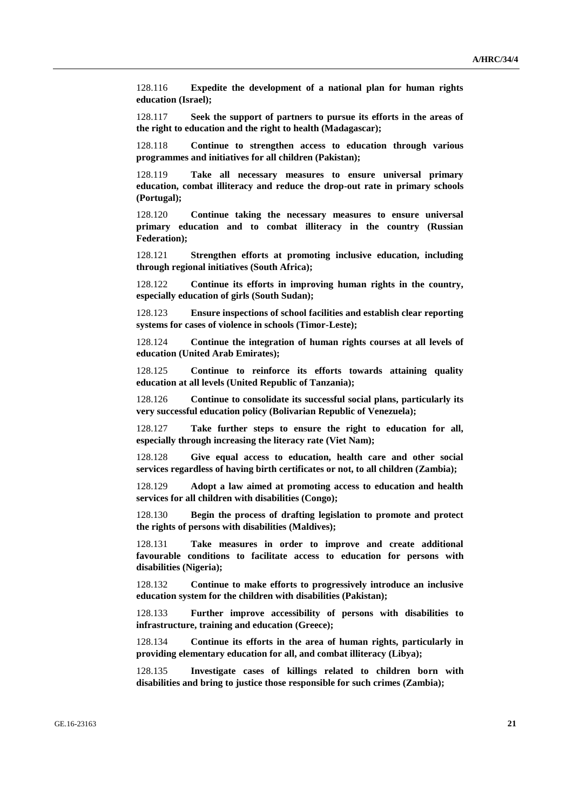128.116 **Expedite the development of a national plan for human rights education (Israel);**

128.117 **Seek the support of partners to pursue its efforts in the areas of the right to education and the right to health (Madagascar);**

128.118 **Continue to strengthen access to education through various programmes and initiatives for all children (Pakistan);**

128.119 **Take all necessary measures to ensure universal primary education, combat illiteracy and reduce the drop-out rate in primary schools (Portugal);**

128.120 **Continue taking the necessary measures to ensure universal primary education and to combat illiteracy in the country (Russian Federation);**

128.121 **Strengthen efforts at promoting inclusive education, including through regional initiatives (South Africa);**

128.122 **Continue its efforts in improving human rights in the country, especially education of girls (South Sudan);**

128.123 **Ensure inspections of school facilities and establish clear reporting systems for cases of violence in schools (Timor-Leste);**

128.124 **Continue the integration of human rights courses at all levels of education (United Arab Emirates);**

128.125 **Continue to reinforce its efforts towards attaining quality education at all levels (United Republic of Tanzania);**

128.126 **Continue to consolidate its successful social plans, particularly its very successful education policy (Bolivarian Republic of Venezuela);**

128.127 **Take further steps to ensure the right to education for all, especially through increasing the literacy rate (Viet Nam);**

128.128 **Give equal access to education, health care and other social services regardless of having birth certificates or not, to all children (Zambia);**

128.129 **Adopt a law aimed at promoting access to education and health services for all children with disabilities (Congo);**

128.130 **Begin the process of drafting legislation to promote and protect the rights of persons with disabilities (Maldives);**

128.131 **Take measures in order to improve and create additional favourable conditions to facilitate access to education for persons with disabilities (Nigeria);**

128.132 **Continue to make efforts to progressively introduce an inclusive education system for the children with disabilities (Pakistan);**

128.133 **Further improve accessibility of persons with disabilities to infrastructure, training and education (Greece);**

128.134 **Continue its efforts in the area of human rights, particularly in providing elementary education for all, and combat illiteracy (Libya);**

128.135 **Investigate cases of killings related to children born with disabilities and bring to justice those responsible for such crimes (Zambia);**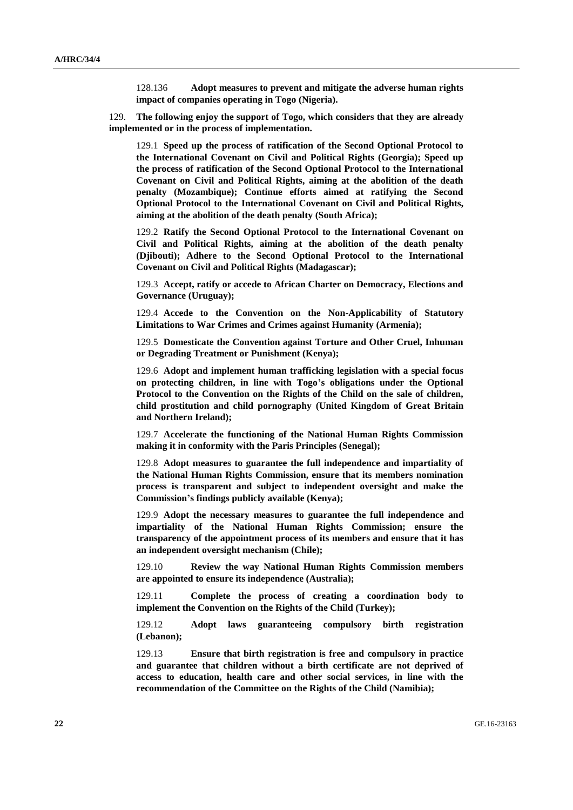128.136 **Adopt measures to prevent and mitigate the adverse human rights impact of companies operating in Togo (Nigeria).**

129. **The following enjoy the support of Togo, which considers that they are already implemented or in the process of implementation.**

129.1 **Speed up the process of ratification of the Second Optional Protocol to the International Covenant on Civil and Political Rights (Georgia); Speed up the process of ratification of the Second Optional Protocol to the International Covenant on Civil and Political Rights, aiming at the abolition of the death penalty (Mozambique); Continue efforts aimed at ratifying the Second Optional Protocol to the International Covenant on Civil and Political Rights, aiming at the abolition of the death penalty (South Africa);**

129.2 **Ratify the Second Optional Protocol to the International Covenant on Civil and Political Rights, aiming at the abolition of the death penalty (Djibouti); Adhere to the Second Optional Protocol to the International Covenant on Civil and Political Rights (Madagascar);**

129.3 **Accept, ratify or accede to African Charter on Democracy, Elections and Governance (Uruguay);**

129.4 **Accede to the Convention on the Non-Applicability of Statutory Limitations to War Crimes and Crimes against Humanity (Armenia);**

129.5 **Domesticate the Convention against Torture and Other Cruel, Inhuman or Degrading Treatment or Punishment (Kenya);**

129.6 **Adopt and implement human trafficking legislation with a special focus on protecting children, in line with Togo's obligations under the Optional Protocol to the Convention on the Rights of the Child on the sale of children, child prostitution and child pornography (United Kingdom of Great Britain and Northern Ireland);**

129.7 **Accelerate the functioning of the National Human Rights Commission making it in conformity with the Paris Principles (Senegal);**

129.8 **Adopt measures to guarantee the full independence and impartiality of the National Human Rights Commission, ensure that its members nomination process is transparent and subject to independent oversight and make the Commission's findings publicly available (Kenya);**

129.9 **Adopt the necessary measures to guarantee the full independence and impartiality of the National Human Rights Commission; ensure the transparency of the appointment process of its members and ensure that it has an independent oversight mechanism (Chile);**

129.10 **Review the way National Human Rights Commission members are appointed to ensure its independence (Australia);**

129.11 **Complete the process of creating a coordination body to implement the Convention on the Rights of the Child (Turkey);**

129.12 **Adopt laws guaranteeing compulsory birth registration (Lebanon);**

129.13 **Ensure that birth registration is free and compulsory in practice and guarantee that children without a birth certificate are not deprived of access to education, health care and other social services, in line with the recommendation of the Committee on the Rights of the Child (Namibia);**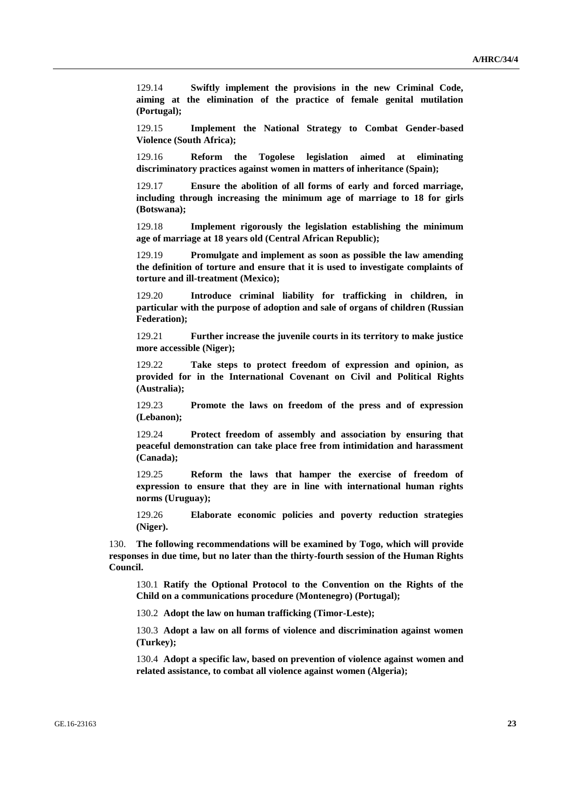129.14 **Swiftly implement the provisions in the new Criminal Code, aiming at the elimination of the practice of female genital mutilation (Portugal);**

129.15 **Implement the National Strategy to Combat Gender-based Violence (South Africa);**

129.16 **Reform the Togolese legislation aimed at eliminating discriminatory practices against women in matters of inheritance (Spain);**

129.17 **Ensure the abolition of all forms of early and forced marriage, including through increasing the minimum age of marriage to 18 for girls (Botswana);**

129.18 **Implement rigorously the legislation establishing the minimum age of marriage at 18 years old (Central African Republic);**

129.19 **Promulgate and implement as soon as possible the law amending the definition of torture and ensure that it is used to investigate complaints of torture and ill-treatment (Mexico);**

129.20 **Introduce criminal liability for trafficking in children, in particular with the purpose of adoption and sale of organs of children (Russian Federation);**

129.21 **Further increase the juvenile courts in its territory to make justice more accessible (Niger);**

129.22 **Take steps to protect freedom of expression and opinion, as provided for in the International Covenant on Civil and Political Rights (Australia);**

129.23 **Promote the laws on freedom of the press and of expression (Lebanon);**

129.24 **Protect freedom of assembly and association by ensuring that peaceful demonstration can take place free from intimidation and harassment (Canada);**

129.25 **Reform the laws that hamper the exercise of freedom of expression to ensure that they are in line with international human rights norms (Uruguay);**

129.26 **Elaborate economic policies and poverty reduction strategies (Niger).**

130. **The following recommendations will be examined by Togo, which will provide responses in due time, but no later than the thirty-fourth session of the Human Rights Council.**

130.1 **Ratify the Optional Protocol to the Convention on the Rights of the Child on a communications procedure (Montenegro) (Portugal);**

130.2 **Adopt the law on human trafficking (Timor-Leste);**

130.3 **Adopt a law on all forms of violence and discrimination against women (Turkey);**

130.4 **Adopt a specific law, based on prevention of violence against women and related assistance, to combat all violence against women (Algeria);**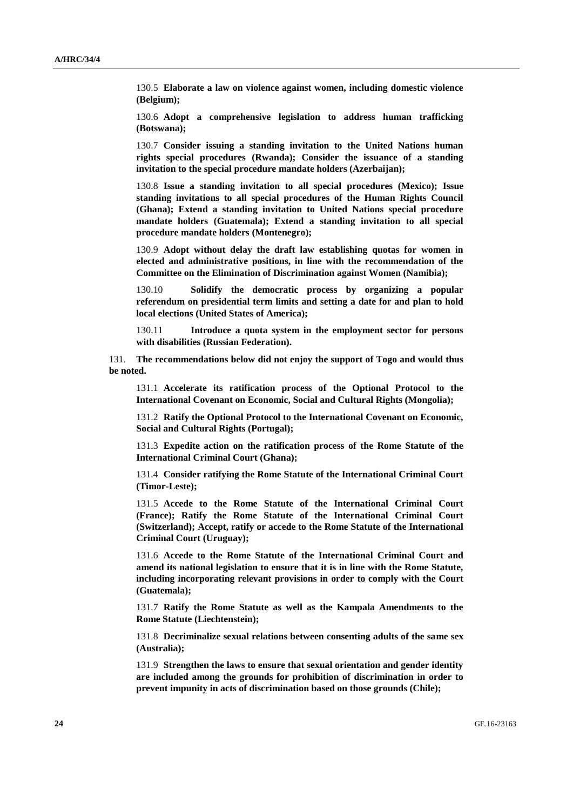130.5 **Elaborate a law on violence against women, including domestic violence (Belgium);**

130.6 **Adopt a comprehensive legislation to address human trafficking (Botswana);**

130.7 **Consider issuing a standing invitation to the United Nations human rights special procedures (Rwanda); Consider the issuance of a standing invitation to the special procedure mandate holders (Azerbaijan);**

130.8 **Issue a standing invitation to all special procedures (Mexico); Issue standing invitations to all special procedures of the Human Rights Council (Ghana); Extend a standing invitation to United Nations special procedure mandate holders (Guatemala); Extend a standing invitation to all special procedure mandate holders (Montenegro);**

130.9 **Adopt without delay the draft law establishing quotas for women in elected and administrative positions, in line with the recommendation of the Committee on the Elimination of Discrimination against Women (Namibia);**

130.10 **Solidify the democratic process by organizing a popular referendum on presidential term limits and setting a date for and plan to hold local elections (United States of America);**

130.11 **Introduce a quota system in the employment sector for persons with disabilities (Russian Federation).**

131. **The recommendations below did not enjoy the support of Togo and would thus be noted.**

131.1 **Accelerate its ratification process of the Optional Protocol to the International Covenant on Economic, Social and Cultural Rights (Mongolia);**

131.2 **Ratify the Optional Protocol to the International Covenant on Economic, Social and Cultural Rights (Portugal);**

131.3 **Expedite action on the ratification process of the Rome Statute of the International Criminal Court (Ghana);**

131.4 **Consider ratifying the Rome Statute of the International Criminal Court (Timor-Leste);**

131.5 **Accede to the Rome Statute of the International Criminal Court (France); Ratify the Rome Statute of the International Criminal Court (Switzerland); Accept, ratify or accede to the Rome Statute of the International Criminal Court (Uruguay);**

131.6 **Accede to the Rome Statute of the International Criminal Court and amend its national legislation to ensure that it is in line with the Rome Statute, including incorporating relevant provisions in order to comply with the Court (Guatemala);**

131.7 **Ratify the Rome Statute as well as the Kampala Amendments to the Rome Statute (Liechtenstein);**

131.8 **Decriminalize sexual relations between consenting adults of the same sex (Australia);**

131.9 **Strengthen the laws to ensure that sexual orientation and gender identity are included among the grounds for prohibition of discrimination in order to prevent impunity in acts of discrimination based on those grounds (Chile);**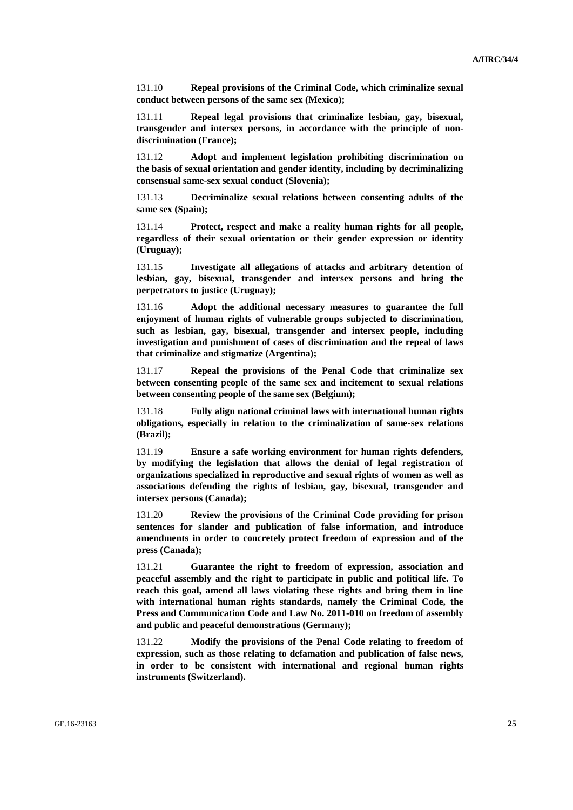131.10 **Repeal provisions of the Criminal Code, which criminalize sexual conduct between persons of the same sex (Mexico);**

131.11 **Repeal legal provisions that criminalize lesbian, gay, bisexual, transgender and intersex persons, in accordance with the principle of nondiscrimination (France);**

131.12 **Adopt and implement legislation prohibiting discrimination on the basis of sexual orientation and gender identity, including by decriminalizing consensual same-sex sexual conduct (Slovenia);**

131.13 **Decriminalize sexual relations between consenting adults of the same sex (Spain);**

131.14 **Protect, respect and make a reality human rights for all people, regardless of their sexual orientation or their gender expression or identity (Uruguay);**

131.15 **Investigate all allegations of attacks and arbitrary detention of lesbian, gay, bisexual, transgender and intersex persons and bring the perpetrators to justice (Uruguay);**

131.16 **Adopt the additional necessary measures to guarantee the full enjoyment of human rights of vulnerable groups subjected to discrimination, such as lesbian, gay, bisexual, transgender and intersex people, including investigation and punishment of cases of discrimination and the repeal of laws that criminalize and stigmatize (Argentina);**

131.17 **Repeal the provisions of the Penal Code that criminalize sex between consenting people of the same sex and incitement to sexual relations between consenting people of the same sex (Belgium);**

131.18 **Fully align national criminal laws with international human rights obligations, especially in relation to the criminalization of same-sex relations (Brazil);**

131.19 **Ensure a safe working environment for human rights defenders, by modifying the legislation that allows the denial of legal registration of organizations specialized in reproductive and sexual rights of women as well as associations defending the rights of lesbian, gay, bisexual, transgender and intersex persons (Canada);**

131.20 **Review the provisions of the Criminal Code providing for prison sentences for slander and publication of false information, and introduce amendments in order to concretely protect freedom of expression and of the press (Canada);**

131.21 **Guarantee the right to freedom of expression, association and peaceful assembly and the right to participate in public and political life. To reach this goal, amend all laws violating these rights and bring them in line with international human rights standards, namely the Criminal Code, the Press and Communication Code and Law No. 2011-010 on freedom of assembly and public and peaceful demonstrations (Germany);**

131.22 **Modify the provisions of the Penal Code relating to freedom of expression, such as those relating to defamation and publication of false news, in order to be consistent with international and regional human rights instruments (Switzerland).**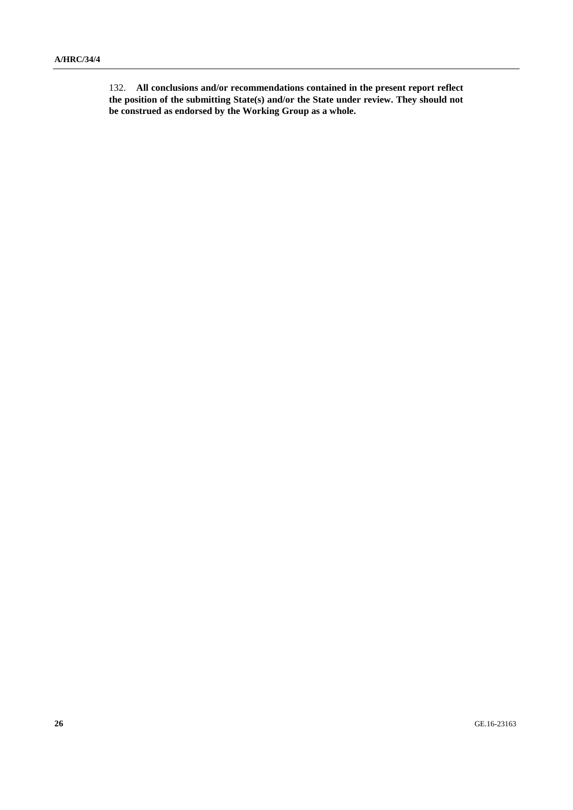132. **All conclusions and/or recommendations contained in the present report reflect the position of the submitting State(s) and/or the State under review. They should not be construed as endorsed by the Working Group as a whole.**